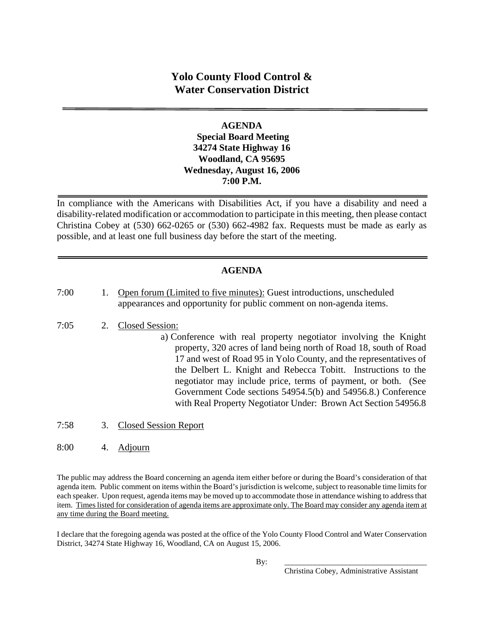# **Yolo County Flood Control & Water Conservation District**

#### **AGENDA**

# **Special Board Meeting 34274 State Highway 16 Woodland, CA 95695 Wednesday, August 16, 2006 7:00 P.M.**

In compliance with the Americans with Disabilities Act, if you have a disability and need a disability-related modification or accommodation to participate in this meeting, then please contact Christina Cobey at (530) 662-0265 or (530) 662-4982 fax. Requests must be made as early as possible, and at least one full business day before the start of the meeting.

# **AGENDA**

- 7:00 1. Open forum (Limited to five minutes): Guest introductions, unscheduled appearances and opportunity for public comment on non-agenda items.
- 7:05 2. Closed Session:
	- a) Conference with real property negotiator involving the Knight property, 320 acres of land being north of Road 18, south of Road 17 and west of Road 95 in Yolo County, and the representatives of the Delbert L. Knight and Rebecca Tobitt. Instructions to the negotiator may include price, terms of payment, or both. (See Government Code sections 54954.5(b) and 54956.8.) Conference with Real Property Negotiator Under: Brown Act Section 54956.8
- 7:58 3. Closed Session Report
- 8:00 4. Adjourn

The public may address the Board concerning an agenda item either before or during the Board's consideration of that agenda item. Public comment on items within the Board's jurisdiction is welcome, subject to reasonable time limits for each speaker. Upon request, agenda items may be moved up to accommodate those in attendance wishing to address that item. Times listed for consideration of agenda items are approximate only. The Board may consider any agenda item at any time during the Board meeting.

I declare that the foregoing agenda was posted at the office of the Yolo County Flood Control and Water Conservation District, 34274 State Highway 16, Woodland, CA on August 15, 2006.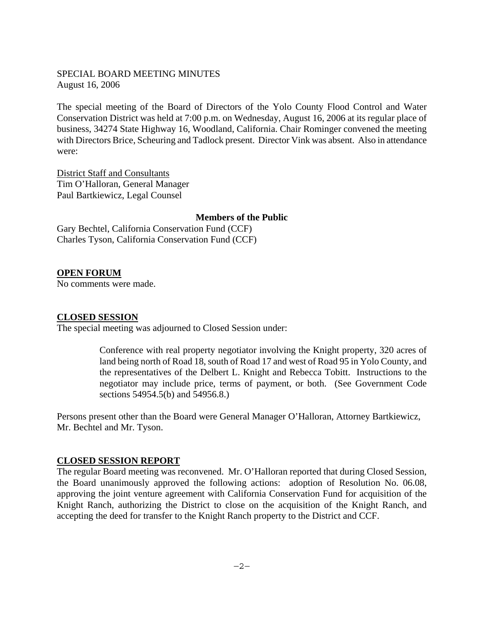### SPECIAL BOARD MEETING MINUTES August 16, 2006

The special meeting of the Board of Directors of the Yolo County Flood Control and Water Conservation District was held at 7:00 p.m. on Wednesday, August 16, 2006 at its regular place of business, 34274 State Highway 16, Woodland, California. Chair Rominger convened the meeting with Directors Brice, Scheuring and Tadlock present. Director Vink was absent. Also in attendance were:

District Staff and Consultants Tim O'Halloran, General Manager Paul Bartkiewicz, Legal Counsel

#### **Members of the Public**

Gary Bechtel, California Conservation Fund (CCF) Charles Tyson, California Conservation Fund (CCF)

## **OPEN FORUM**

No comments were made.

# **CLOSED SESSION**

The special meeting was adjourned to Closed Session under:

Conference with real property negotiator involving the Knight property, 320 acres of land being north of Road 18, south of Road 17 and west of Road 95 in Yolo County, and the representatives of the Delbert L. Knight and Rebecca Tobitt. Instructions to the negotiator may include price, terms of payment, or both. (See Government Code sections 54954.5(b) and 54956.8.)

Persons present other than the Board were General Manager O'Halloran, Attorney Bartkiewicz, Mr. Bechtel and Mr. Tyson.

#### **CLOSED SESSION REPORT**

The regular Board meeting was reconvened. Mr. O'Halloran reported that during Closed Session, the Board unanimously approved the following actions: adoption of Resolution No. 06.08, approving the joint venture agreement with California Conservation Fund for acquisition of the Knight Ranch, authorizing the District to close on the acquisition of the Knight Ranch, and accepting the deed for transfer to the Knight Ranch property to the District and CCF.